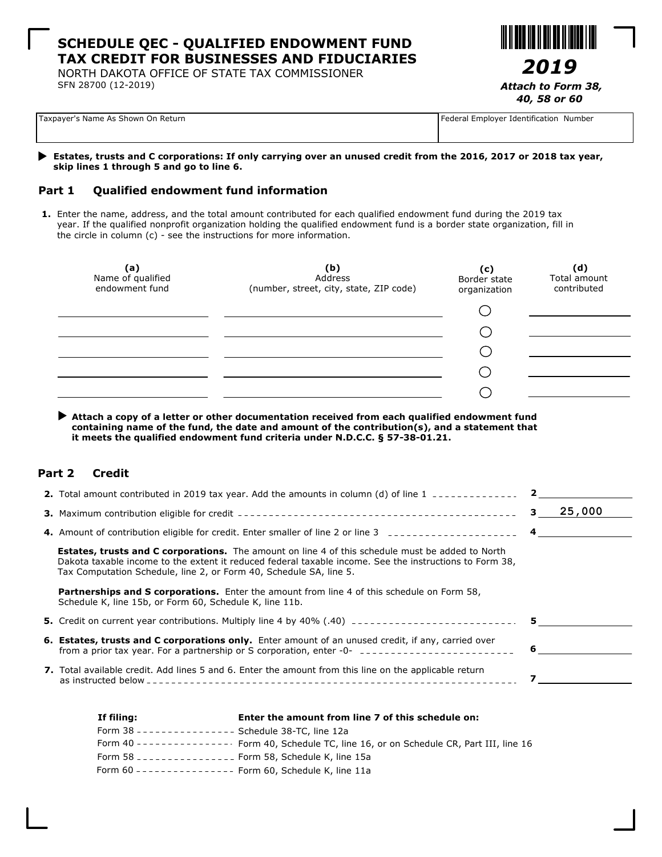## **SCHEDULE QEC - QUALIFIED ENDOWMENT FUND TAX CREDIT FOR BUSINESSES AND FIDUCIARIES**

NORTH DAKOTA OFFICE OF STATE TAX COMMISSIONER SFN 28700 (12-2019)



*40, 58 or 60*

| Taxpayer's Name As Shown On Return |  |
|------------------------------------|--|
|------------------------------------|--|

Federal Employer Identification Number

#### **Estates, trusts and C corporations: If only carrying over an unused credit from the 2016, 2017 or 2018 tax year, skip lines 1 through 5 and go to line 6.**

### **Part 1 Qualified endowment fund information**

**1.** Enter the name, address, and the total amount contributed for each qualified endowment fund during the 2019 tax year. If the qualified nonprofit organization holding the qualified endowment fund is a border state organization, fill in the circle in column (c) - see the instructions for more information.

| (a)<br>Name of qualified<br>endowment fund | (b)<br>Address<br>(number, street, city, state, ZIP code) | (c)<br>Border state<br>organization | (d)<br>Total amount<br>contributed |
|--------------------------------------------|-----------------------------------------------------------|-------------------------------------|------------------------------------|
|                                            |                                                           |                                     |                                    |
|                                            |                                                           |                                     |                                    |
|                                            |                                                           |                                     |                                    |
|                                            |                                                           |                                     |                                    |
|                                            |                                                           |                                     |                                    |
|                                            |                                                           |                                     |                                    |

 **Attach a copy of a letter or other documentation received from each qualified endowment fund containing name of the fund, the date and amount of the contribution(s), and a statement that it meets the qualified endowment fund criteria under N.D.C.C. § 57-38-01.21.**

### **Part 2 Credit**

| <b>2.</b> Total amount contributed in 2019 tax year. Add the amounts in column (d) of line 1 $\rightarrow$                                                                                                                                                                               |                |        |
|------------------------------------------------------------------------------------------------------------------------------------------------------------------------------------------------------------------------------------------------------------------------------------------|----------------|--------|
|                                                                                                                                                                                                                                                                                          | 3              | 25,000 |
|                                                                                                                                                                                                                                                                                          | $\overline{4}$ |        |
| <b>Estates, trusts and C corporations.</b> The amount on line 4 of this schedule must be added to North<br>Dakota taxable income to the extent it reduced federal taxable income. See the instructions to Form 38,<br>Tax Computation Schedule, line 2, or Form 40, Schedule SA, line 5. |                |        |
| <b>Partnerships and S corporations.</b> Enter the amount from line 4 of this schedule on Form 58,<br>Schedule K, line 15b, or Form 60, Schedule K, line 11b.                                                                                                                             |                |        |
| 5. Credit on current year contributions. Multiply line 4 by 40% (.40) ______________________________                                                                                                                                                                                     |                |        |
| <b>6. Estates, trusts and C corporations only.</b> Enter amount of an unused credit, if any, carried over                                                                                                                                                                                | 6              |        |
| <b>7.</b> Total available credit. Add lines 5 and 6. Enter the amount from this line on the applicable return                                                                                                                                                                            |                |        |
|                                                                                                                                                                                                                                                                                          |                |        |

| If filing:                                                        | Enter the amount from line 7 of this schedule on:                                           |
|-------------------------------------------------------------------|---------------------------------------------------------------------------------------------|
| Form 38 --------------- Schedule 38-TC, line 12a                  |                                                                                             |
|                                                                   | Form 40 --------------- Form 40, Schedule TC, line 16, or on Schedule CR, Part III, line 16 |
| Form 58 ----------------    Form 58, Schedule K, line 15a         |                                                                                             |
| Form 60 - - - - - - - - - - - - - - Form 60, Schedule K, line 11a |                                                                                             |